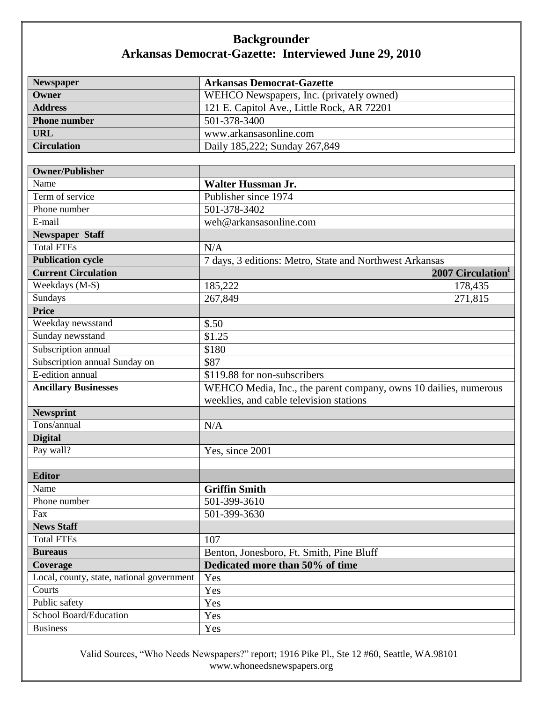## **Backgrounder Arkansas Democrat-Gazette: Interviewed June 29, 2010**

| Newspaper                                 | <b>Arkansas Democrat-Gazette</b>                                 |
|-------------------------------------------|------------------------------------------------------------------|
| Owner                                     | WEHCO Newspapers, Inc. (privately owned)                         |
| <b>Address</b>                            | 121 E. Capitol Ave., Little Rock, AR 72201                       |
| <b>Phone number</b>                       | 501-378-3400                                                     |
| <b>URL</b>                                | www.arkansasonline.com                                           |
| <b>Circulation</b>                        | Daily 185,222; Sunday 267,849                                    |
|                                           |                                                                  |
| <b>Owner/Publisher</b>                    |                                                                  |
| Name                                      | <b>Walter Hussman Jr.</b>                                        |
| Term of service                           | Publisher since 1974                                             |
| Phone number                              | 501-378-3402                                                     |
| E-mail                                    | weh@arkansasonline.com                                           |
| <b>Newspaper Staff</b>                    |                                                                  |
| <b>Total FTEs</b>                         | N/A                                                              |
| <b>Publication cycle</b>                  | 7 days, 3 editions: Metro, State and Northwest Arkansas          |
| <b>Current Circulation</b>                | 2007 Circulation <sup>1</sup>                                    |
| Weekdays (M-S)                            | 185,222<br>178,435                                               |
| Sundays                                   | 267,849<br>271,815                                               |
| <b>Price</b>                              |                                                                  |
| Weekday newsstand                         | \$.50                                                            |
| Sunday newsstand                          | \$1.25                                                           |
| Subscription annual                       | \$180                                                            |
| Subscription annual Sunday on             | \$87                                                             |
| E-edition annual                          | \$119.88 for non-subscribers                                     |
| <b>Ancillary Businesses</b>               | WEHCO Media, Inc., the parent company, owns 10 dailies, numerous |
|                                           | weeklies, and cable television stations                          |
| <b>Newsprint</b>                          |                                                                  |
| Tons/annual                               | N/A                                                              |
| <b>Digital</b>                            |                                                                  |
| Pay wall?                                 | Yes, since 2001                                                  |
|                                           |                                                                  |
| <b>Editor</b>                             |                                                                  |
| Name                                      | <b>Griffin Smith</b>                                             |
| Phone number                              | 501-399-3610                                                     |
| Fax                                       | 501-399-3630                                                     |
| <b>News Staff</b>                         |                                                                  |
| <b>Total FTEs</b>                         | 107                                                              |
| <b>Bureaus</b>                            | Benton, Jonesboro, Ft. Smith, Pine Bluff                         |
| Coverage                                  | Dedicated more than 50% of time                                  |
| Local, county, state, national government | Yes                                                              |
| Courts                                    | Yes                                                              |
| Public safety                             | Yes                                                              |
| School Board/Education                    | Yes                                                              |
| <b>Business</b>                           | Yes                                                              |

Valid Sources, "Who Needs Newspapers?" report; 1916 Pike Pl., Ste 12 #60, Seattle, WA.98101 www.whoneedsnewspapers.org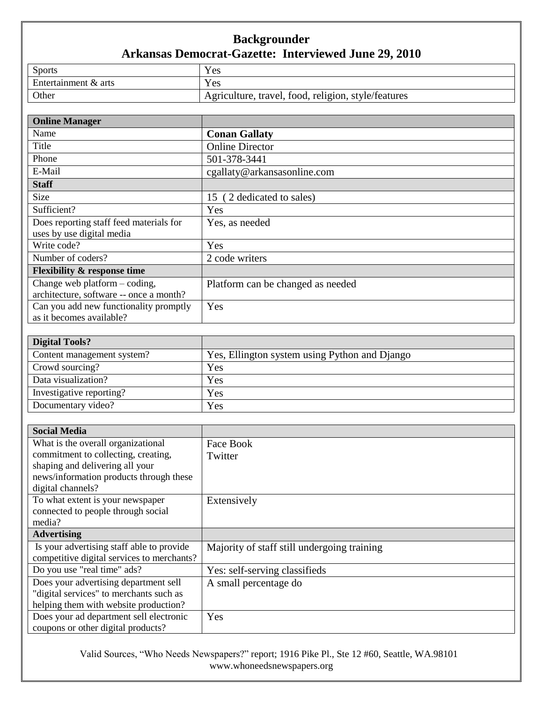## **Backgrounder Arkansas Democrat-Gazette: Interviewed June 29, 2010**

| <b>Sports</b>        | Yes                                                 |
|----------------------|-----------------------------------------------------|
| Entertainment & arts | Yes                                                 |
| Other                | Agriculture, travel, food, religion, style/features |

| <b>Online Manager</b>                   |                                          |
|-----------------------------------------|------------------------------------------|
| Name                                    | <b>Conan Gallaty</b>                     |
| Title                                   | <b>Online Director</b>                   |
| Phone                                   | 501-378-3441                             |
| E-Mail                                  | cgallaty@arkansasonline.com              |
| <b>Staff</b>                            |                                          |
| Size                                    | 2 dedicated to sales)<br>15 <sup>6</sup> |
| Sufficient?                             | Yes                                      |
| Does reporting staff feed materials for | Yes, as needed                           |
| uses by use digital media               |                                          |
| Write code?                             | Yes                                      |
| Number of coders?                       | 2 code writers                           |
| <b>Flexibility &amp; response time</b>  |                                          |
| Change web platform $-$ coding,         | Platform can be changed as needed        |
| architecture, software -- once a month? |                                          |
| Can you add new functionality promptly  | Yes                                      |
| as it becomes available?                |                                          |

| <b>Digital Tools?</b>      |                                               |
|----------------------------|-----------------------------------------------|
| Content management system? | Yes, Ellington system using Python and Django |
| Crowd sourcing?            | Yes                                           |
| Data visualization?        | Yes                                           |
| Investigative reporting?   | Yes                                           |
| Documentary video?         | Yes                                           |

| <b>Social Media</b>                        |                                             |
|--------------------------------------------|---------------------------------------------|
| What is the overall organizational         | Face Book                                   |
| commitment to collecting, creating,        | Twitter                                     |
| shaping and delivering all your            |                                             |
| news/information products through these    |                                             |
| digital channels?                          |                                             |
| To what extent is your newspaper           | Extensively                                 |
| connected to people through social         |                                             |
| media?                                     |                                             |
| <b>Advertising</b>                         |                                             |
| Is your advertising staff able to provide  | Majority of staff still undergoing training |
| competitive digital services to merchants? |                                             |
| Do you use "real time" ads?                | Yes: self-serving classifieds               |
| Does your advertising department sell      | A small percentage do                       |
| "digital services" to merchants such as    |                                             |
| helping them with website production?      |                                             |
| Does your ad department sell electronic    | Yes                                         |
| coupons or other digital products?         |                                             |

Valid Sources, "Who Needs Newspapers?" report; 1916 Pike Pl., Ste 12 #60, Seattle, WA.98101 www.whoneedsnewspapers.org